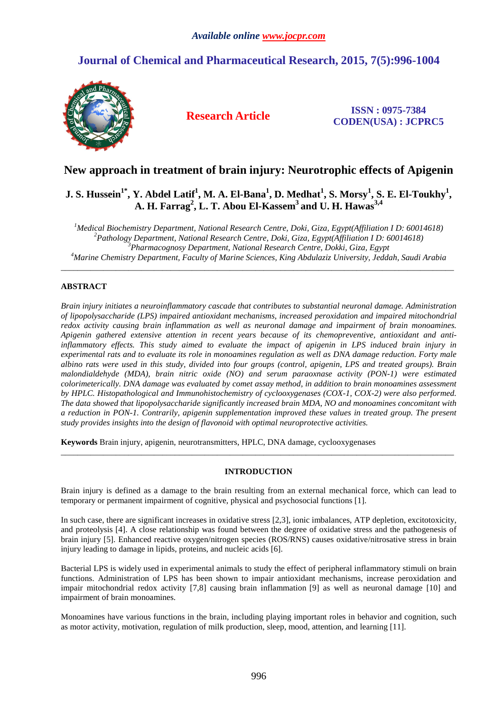# **Journal of Chemical and Pharmaceutical Research, 2015, 7(5):996-1004**



**Research Article ISSN : 0975-7384 CODEN(USA) : JCPRC5**

# **New approach in treatment of brain injury: Neurotrophic effects of Apigenin**

# **J. S. Hussein1\*, Y. Abdel Latif<sup>1</sup> , M. A. El-Bana<sup>1</sup> , D. Medhat<sup>1</sup> , S. Morsy<sup>1</sup> , S. E. El-Toukhy<sup>1</sup> , A. H. Farrag<sup>2</sup> , L. T. Abou El-Kassem<sup>3</sup>and U. H. Hawas3,4**

*Medical Biochemistry Department, National Research Centre, Doki, Giza, Egypt(Affiliation I D: 60014618) Pathology Department, National Research Centre, Doki, Giza, Egypt(Affiliation I D: 60014618) Pharmacognosy Department, National Research Centre, Dokki, Giza, Egypt Marine Chemistry Department, Faculty of Marine Sciences, King Abdulaziz University, Jeddah, Saudi Arabia*  \_\_\_\_\_\_\_\_\_\_\_\_\_\_\_\_\_\_\_\_\_\_\_\_\_\_\_\_\_\_\_\_\_\_\_\_\_\_\_\_\_\_\_\_\_\_\_\_\_\_\_\_\_\_\_\_\_\_\_\_\_\_\_\_\_\_\_\_\_\_\_\_\_\_\_\_\_\_\_\_\_\_\_\_\_\_\_\_\_\_\_\_\_

# **ABSTRACT**

*Brain injury initiates a neuroinflammatory cascade that contributes to substantial neuronal damage. Administration of lipopolysaccharide (LPS) impaired antioxidant mechanisms, increased peroxidation and impaired mitochondrial redox activity causing brain inflammation as well as neuronal damage and impairment of brain monoamines. Apigenin gathered extensive attention in recent years because of its chemopreventive, antioxidant and antiinflammatory effects. This study aimed to evaluate the impact of apigenin in LPS induced brain injury in experimental rats and to evaluate its role in monoamines regulation as well as DNA damage reduction. Forty male albino rats were used in this study, divided into four groups (control, apigenin, LPS and treated groups). Brain malondialdehyde (MDA), brain nitric oxide (NO) and serum paraoxnase activity (PON-1) were estimated colorimeterically. DNA damage was evaluated by comet assay method, in addition to brain monoamines assessment by HPLC. Histopathological and Immunohistochemistry of cyclooxygenases (COX-1, COX-2) were also performed. The data showed that lipopolysaccharide significantly increased brain MDA, NO and monoamines concomitant with a reduction in PON-1. Contrarily, apigenin supplementation improved these values in treated group. The present study provides insights into the design of flavonoid with optimal neuroprotective activities.*

**Keywords** Brain injury, apigenin, neurotransmitters, HPLC, DNA damage, cyclooxygenases

# **INTRODUCTION**

\_\_\_\_\_\_\_\_\_\_\_\_\_\_\_\_\_\_\_\_\_\_\_\_\_\_\_\_\_\_\_\_\_\_\_\_\_\_\_\_\_\_\_\_\_\_\_\_\_\_\_\_\_\_\_\_\_\_\_\_\_\_\_\_\_\_\_\_\_\_\_\_\_\_\_\_\_\_\_\_\_\_\_\_\_\_\_\_\_\_\_\_\_

Brain injury is defined as a damage to the brain resulting from an external mechanical force, which can lead to temporary or permanent impairment of cognitive, physical and psychosocial functions [1].

In such case, there are significant increases in oxidative stress [2,3], ionic imbalances, ATP depletion, excitotoxicity, and proteolysis [4]. A close relationship was found between the degree of oxidative stress and the pathogenesis of brain injury [5]. Enhanced reactive oxygen/nitrogen species (ROS/RNS) causes oxidative/nitrosative stress in brain injury leading to damage in lipids, proteins, and nucleic acids [6].

Bacterial LPS is widely used in experimental animals to study the effect of peripheral inflammatory stimuli on brain functions. Administration of LPS has been shown to impair antioxidant mechanisms, increase peroxidation and impair mitochondrial redox activity [7,8] causing brain inflammation [9] as well as neuronal damage [10] and impairment of brain monoamines.

Monoamines have various functions in the brain, including playing important roles in behavior and cognition, such as motor activity, motivation, regulation of milk production, sleep, mood, attention, and learning [11].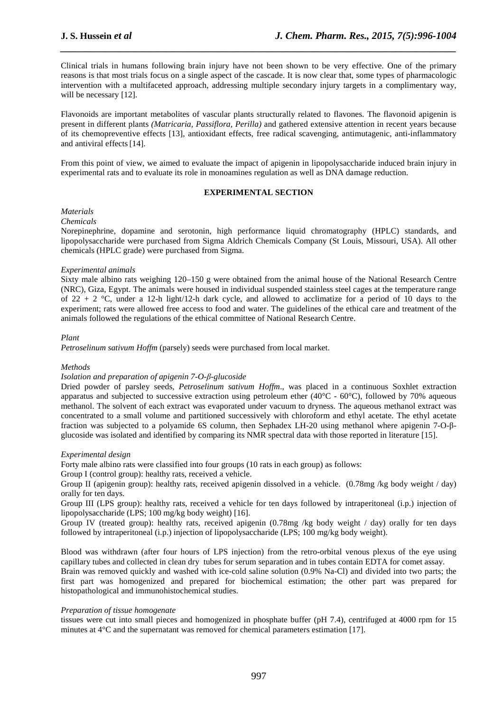Clinical trials in humans following brain injury have not been shown to be very effective. One of the primary reasons is that most trials focus on a single aspect of the cascade. It is now clear that, some types of pharmacologic intervention with a multifaceted approach, addressing multiple secondary injury targets in a complimentary way, will be necessary [12].

*\_\_\_\_\_\_\_\_\_\_\_\_\_\_\_\_\_\_\_\_\_\_\_\_\_\_\_\_\_\_\_\_\_\_\_\_\_\_\_\_\_\_\_\_\_\_\_\_\_\_\_\_\_\_\_\_\_\_\_\_\_\_\_\_\_\_\_\_\_\_\_\_\_\_\_\_\_\_*

Flavonoids are important metabolites of vascular plants structurally related to flavones. The flavonoid apigenin is present in different plants *(Matricaria, Passiflora, Perilla)* and gathered extensive attention in recent years because of its chemopreventive effects [13], antioxidant effects, free radical scavenging, antimutagenic, anti-inflammatory and antiviral effects[14].

From this point of view, we aimed to evaluate the impact of apigenin in lipopolysaccharide induced brain injury in experimental rats and to evaluate its role in monoamines regulation as well as DNA damage reduction.

# **EXPERIMENTAL SECTION**

# *Materials*

#### *Chemicals*

Norepinephrine, dopamine and serotonin, high performance liquid chromatography (HPLC) standards, and lipopolysaccharide were purchased from Sigma Aldrich Chemicals Company (St Louis, Missouri, USA). All other chemicals (HPLC grade) were purchased from Sigma.

## *Experimental animals*

Sixty male albino rats weighing 120–150 g were obtained from the animal house of the National Research Centre (NRC), Giza, Egypt. The animals were housed in individual suspended stainless steel cages at the temperature range of 22 + 2  $\degree$ C, under a 12-h light/12-h dark cycle, and allowed to acclimatize for a period of 10 days to the experiment; rats were allowed free access to food and water. The guidelines of the ethical care and treatment of the animals followed the regulations of the ethical committee of National Research Centre.

## *Plant*

*Petroselinum sativum Hoffm* (parsely) seeds were purchased from local market.

#### *Methods*

#### *Isolation and preparation of apigenin 7-O-β-glucoside*

Dried powder of parsley seeds, *Petroselinum sativum Hoffm*., was placed in a continuous Soxhlet extraction apparatus and subjected to successive extraction using petroleum ether (40 $^{\circ}$ C - 60 $^{\circ}$ C), followed by 70% aqueous methanol. The solvent of each extract was evaporated under vacuum to dryness. The aqueous methanol extract was concentrated to a small volume and partitioned successively with chloroform and ethyl acetate. The ethyl acetate fraction was subjected to a polyamide 6S column, then Sephadex LH-20 using methanol where apigenin 7-O-βglucoside was isolated and identified by comparing its NMR spectral data with those reported in literature [15].

#### *Experimental design*

Forty male albino rats were classified into four groups (10 rats in each group) as follows:

Group I (control group): healthy rats, received a vehicle.

Group II (apigenin group): healthy rats, received apigenin dissolved in a vehicle. (0.78mg /kg body weight / day) orally for ten days.

Group III (LPS group): healthy rats, received a vehicle for ten days followed by intraperitoneal (i.p.) injection of lipopolysaccharide (LPS; 100 mg/kg body weight) [16].

Group IV (treated group): healthy rats, received apigenin (0.78mg /kg body weight / day) orally for ten days followed by intraperitoneal (i.p.) injection of lipopolysaccharide (LPS; 100 mg/kg body weight).

Blood was withdrawn (after four hours of LPS injection) from the retro-orbital venous plexus of the eye using capillary tubes and collected in clean dry tubes for serum separation and in tubes contain EDTA for comet assay.

Brain was removed quickly and washed with ice-cold saline solution (0.9% Na-Cl) and divided into two parts; the first part was homogenized and prepared for biochemical estimation; the other part was prepared for histopathological and immunohistochemical studies.

#### *Preparation of tissue homogenate*

tissues were cut into small pieces and homogenized in phosphate buffer (pH 7.4), centrifuged at 4000 rpm for 15 minutes at 4°C and the supernatant was removed for chemical parameters estimation [17].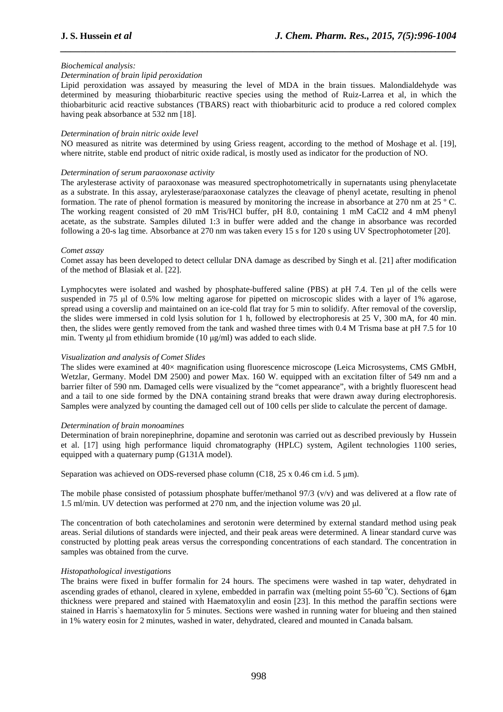## *Biochemical analysis:*

## *Determination of brain lipid peroxidation*

Lipid peroxidation was assayed by measuring the level of MDA in the brain tissues. Malondialdehyde was determined by measuring thiobarbituric reactive species using the method of Ruiz-Larrea et al, in which the thiobarbituric acid reactive substances (TBARS) react with thiobarbituric acid to produce a red colored complex having peak absorbance at 532 nm [18].

*\_\_\_\_\_\_\_\_\_\_\_\_\_\_\_\_\_\_\_\_\_\_\_\_\_\_\_\_\_\_\_\_\_\_\_\_\_\_\_\_\_\_\_\_\_\_\_\_\_\_\_\_\_\_\_\_\_\_\_\_\_\_\_\_\_\_\_\_\_\_\_\_\_\_\_\_\_\_*

## *Determination of brain nitric oxide level*

NO measured as nitrite was determined by using Griess reagent, according to the method of Moshage et al. [19], where nitrite, stable end product of nitric oxide radical, is mostly used as indicator for the production of NO.

#### *Determination of serum paraoxonase activity*

The arylesterase activity of paraoxonase was measured spectrophotometrically in supernatants using phenylacetate as a substrate. In this assay, arylesterase/paraoxonase catalyzes the cleavage of phenyl acetate, resulting in phenol formation. The rate of phenol formation is measured by monitoring the increase in absorbance at 270 nm at 25 º C. The working reagent consisted of 20 mM Tris/HCl buffer, pH 8.0, containing 1 mM CaCl2 and 4 mM phenyl acetate, as the substrate. Samples diluted 1:3 in buffer were added and the change in absorbance was recorded following a 20-s lag time. Absorbance at 270 nm was taken every 15 s for 120 s using UV Spectrophotometer [20].

## *Comet assay*

Comet assay has been developed to detect cellular DNA damage as described by Singh et al. [21] after modification of the method of Blasiak et al. [22].

Lymphocytes were isolated and washed by phosphate-buffered saline (PBS) at pH 7.4. Ten µl of the cells were suspended in 75 µl of 0.5% low melting agarose for pipetted on microscopic slides with a layer of 1% agarose, spread using a coverslip and maintained on an ice-cold flat tray for 5 min to solidify. After removal of the coverslip, the slides were immersed in cold lysis solution for 1 h, followed by electrophoresis at 25 V, 300 mA, for 40 min. then, the slides were gently removed from the tank and washed three times with 0.4 M Trisma base at pH 7.5 for 10 min. Twenty µl from ethidium bromide  $(10 \mu g/ml)$  was added to each slide.

#### *Visualization and analysis of Comet Slides*

The slides were examined at 40× magnification using fluorescence microscope (Leica Microsystems, CMS GMbH, Wetzlar, Germany. Model DM 2500) and power Max. 160 W. equipped with an excitation filter of 549 nm and a barrier filter of 590 nm. Damaged cells were visualized by the "comet appearance", with a brightly fluorescent head and a tail to one side formed by the DNA containing strand breaks that were drawn away during electrophoresis. Samples were analyzed by counting the damaged cell out of 100 cells per slide to calculate the percent of damage.

## *Determination of brain monoamines*

Determination of brain norepinephrine, dopamine and serotonin was carried out as described previously by Hussein et al. [17] using high performance liquid chromatography (HPLC) system, Agilent technologies 1100 series, equipped with a quaternary pump (G131A model).

Separation was achieved on ODS-reversed phase column (C18,  $25 \times 0.46$  cm i.d.  $5 \mu m$ ).

The mobile phase consisted of potassium phosphate buffer/methanol  $97/3$  (v/v) and was delivered at a flow rate of 1.5 ml/min. UV detection was performed at 270 nm, and the injection volume was 20 µl.

The concentration of both catecholamines and serotonin were determined by external standard method using peak areas. Serial dilutions of standards were injected, and their peak areas were determined. A linear standard curve was constructed by plotting peak areas versus the corresponding concentrations of each standard. The concentration in samples was obtained from the curve.

# *Histopathological investigations*

The brains were fixed in buffer formalin for 24 hours. The specimens were washed in tap water, dehydrated in ascending grades of ethanol, cleared in xylene, embedded in parrafin wax (melting point  $55-60$  °C). Sections of 6 $\mu$ m thickness were prepared and stained with Haematoxylin and eosin [23]. In this method the paraffin sections were stained in Harris`s haematoxylin for 5 minutes. Sections were washed in running water for blueing and then stained in 1% watery eosin for 2 minutes, washed in water, dehydrated, cleared and mounted in Canada balsam.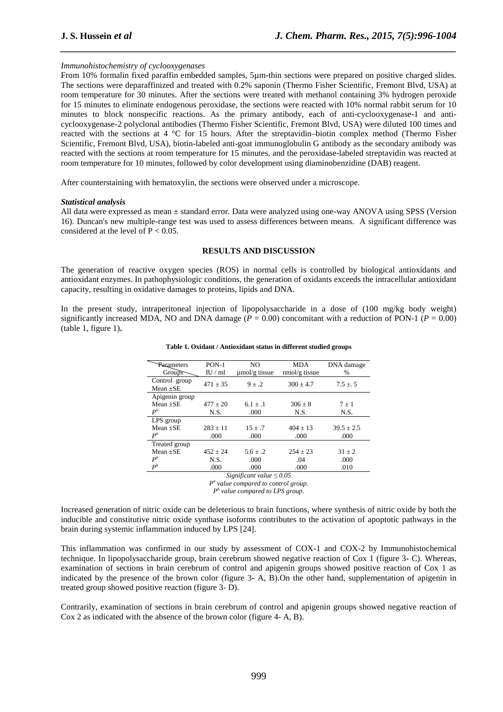# *Immunohistochemistry of cyclooxygenases*

From 10% formalin fixed paraffin embedded samples, 5µm-thin sections were prepared on positive charged slides. The sections were deparaffinized and treated with 0.2% saponin (Thermo Fisher Scientific, Fremont Blvd, USA) at room temperature for 30 minutes. After the sections were treated with methanol containing 3% hydrogen peroxide for 15 minutes to eliminate endogenous peroxidase, the sections were reacted with 10% normal rabbit serum for 10 minutes to block nonspecific reactions. As the primary antibody, each of anti-cyclooxygenase-1 and anticyclooxygenase-2 polyclonal antibodies (Thermo Fisher Scientific, Fremont Blvd, USA) were diluted 100 times and reacted with the sections at 4 °C for 15 hours. After the streptavidin–biotin complex method (Thermo Fisher Scientific, Fremont Blvd, USA), biotin-labeled anti-goat immunoglobulin G antibody as the secondary antibody was reacted with the sections at room temperature for 15 minutes, and the peroxidase-labeled streptavidin was reacted at room temperature for 10 minutes, followed by color development using diaminobenzidine (DAB) reagent.

*\_\_\_\_\_\_\_\_\_\_\_\_\_\_\_\_\_\_\_\_\_\_\_\_\_\_\_\_\_\_\_\_\_\_\_\_\_\_\_\_\_\_\_\_\_\_\_\_\_\_\_\_\_\_\_\_\_\_\_\_\_\_\_\_\_\_\_\_\_\_\_\_\_\_\_\_\_\_*

After counterstaining with hematoxylin, the sections were observed under a microscope.

## *Statistical analysis*

All data were expressed as mean ± standard error. Data were analyzed using one-way ANOVA using SPSS (Version 16). Duncan's new multiple-range test was used to assess differences between means. A significant difference was considered at the level of  $P < 0.05$ .

## **RESULTS AND DISCUSSION**

The generation of reactive oxygen species (ROS) in normal cells is controlled by biological antioxidants and antioxidant enzymes. In pathophysiologic conditions, the generation of oxidants exceeds the intracellular antioxidant capacity, resulting in oxidative damages to proteins, lipids and DNA.

In the present study, intraperitoneal injection of lipopolysaccharide in a dose of (100 mg/kg body weight) significantly increased MDA, NO and DNA damage ( $P = 0.00$ ) concomitant with a reduction of PON-1 ( $P = 0.00$ ) (table 1, figure 1)**.** 

| $PON-1$<br>IU/ml | NO.<br>$\mu$ mol/g tissue | <b>MDA</b><br>$nmol/g$ tissue | DNA damage<br>$\%$ |
|------------------|---------------------------|-------------------------------|--------------------|
| $471 \pm 35$     | $9+.2$                    | $300 \pm 4.7$                 | $7.5 \pm .5$       |
|                  |                           |                               |                    |
| $477 + 20$       | $6.1 + .1$                | $306 + 8$                     | $7 \pm 1$          |
| N.S.             | .000                      | N.S.                          | N.S.               |
|                  |                           |                               |                    |
| $283 \pm 11$     | $15 + .7$                 | $404 \pm 13$                  | $39.5 \pm 2.5$     |
| .000             | .000                      | .000                          | .000               |
|                  |                           |                               |                    |
| $452 + 24$       | $5.6 \pm .2$              | $254 \pm 23$                  | $31 + 2$           |
| N.S.             | .000                      | .04                           | .000               |
| .000             | .000                      | .000                          | .010               |
|                  |                           |                               |                    |

#### **Table 1. Oxidant / Antioxidant status in different studied groups**

*Significant value ≤ 0.05 P a value compared to control group.* 

*P b value compared to LPS group.* 

Increased generation of nitric oxide can be deleterious to brain functions, where synthesis of nitric oxide by both the inducible and constitutive nitric oxide synthase isoforms contributes to the activation of apoptotic pathways in the brain during systemic inflammation induced by LPS [24].

This inflammation was confirmed in our study by assessment of COX-1 and COX-2 by Immunohistochemical technique. In lipopolysaccharide group, brain cerebrum showed negative reaction of Cox 1 (figure 3**-** C). Whereas, examination of sections in brain cerebrum of control and apigenin groups showed positive reaction of Cox 1 as indicated by the presence of the brown color (figure 3**-** A, B).On the other hand, supplementation of apigenin in treated group showed positive reaction (figure 3- D).

Contrarily, examination of sections in brain cerebrum of control and apigenin groups showed negative reaction of Cox 2 as indicated with the absence of the brown color (figure 4- A, B).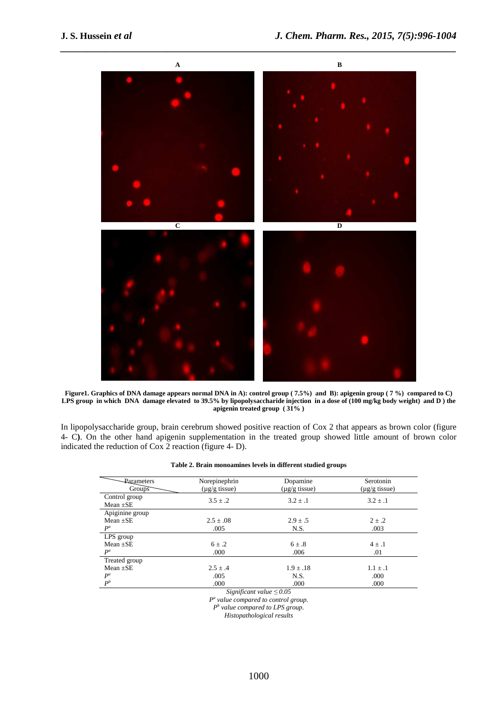

*\_\_\_\_\_\_\_\_\_\_\_\_\_\_\_\_\_\_\_\_\_\_\_\_\_\_\_\_\_\_\_\_\_\_\_\_\_\_\_\_\_\_\_\_\_\_\_\_\_\_\_\_\_\_\_\_\_\_\_\_\_\_\_\_\_\_\_\_\_\_\_\_\_\_\_\_\_\_*

**Figure1. Graphics of DNA damage appears normal DNA in A): control group ( 7.5%) and B): apigenin group ( 7 %) compared to C) LPS group in which DNA damage elevated to 39.5% by lipopolysaccharide injection in a dose of (100 mg/kg body weight) and D ) the apigenin treated group ( 31% )** 

In lipopolysaccharide group, brain cerebrum showed positive reaction of Cox 2 that appears as brown color (figure 4- C**)**. On the other hand apigenin supplementation in the treated group showed little amount of brown color indicated the reduction of Cox 2 reaction (figure 4- D).

| Table 2. Brain monoamines levels in different studied groups |  |  |  |
|--------------------------------------------------------------|--|--|--|
|--------------------------------------------------------------|--|--|--|

| Parameters                      | Norepinephrin          | Dopamine               | Serotonin          |  |  |
|---------------------------------|------------------------|------------------------|--------------------|--|--|
| Groups                          | $(\mu g/g \t{tissue})$ | $(\mu g/g \t{tissue})$ | $(\mu g/g$ tissue) |  |  |
| Control group                   | $3.5 + .2$             | $3.2 \pm .1$           | $3.2 \pm .1$       |  |  |
| Mean $\pm$ SE                   |                        |                        |                    |  |  |
| Apiginine group                 |                        |                        |                    |  |  |
| Mean $\pm$ SE                   | $2.5 \pm .08$          | $2.9 \pm .5$           | $2 \pm .2$         |  |  |
| $P^a$                           | .005                   | N.S.                   | .003               |  |  |
| LPS group                       |                        |                        |                    |  |  |
| $Mean + SE$                     | $6 \pm .2$             | $6 \pm .8$             | $4 \pm .1$         |  |  |
| $P^a$                           | .000                   | .006                   | .01                |  |  |
| Treated group                   |                        |                        |                    |  |  |
| Mean $+SE$                      | $2.5 + .4$             | $1.9 \pm .18$          | $1.1 + .1$         |  |  |
| $P^a$                           | .005                   | N.S.                   | .000               |  |  |
| $P^b$                           | .000                   | .000                   | .000               |  |  |
| $Cianification table \geq 0.05$ |                        |                        |                    |  |  |

*Significant value ≤ 0.05* 

*P a value compared to control group.* 

*P b value compared to LPS group.* 

*Histopathological results*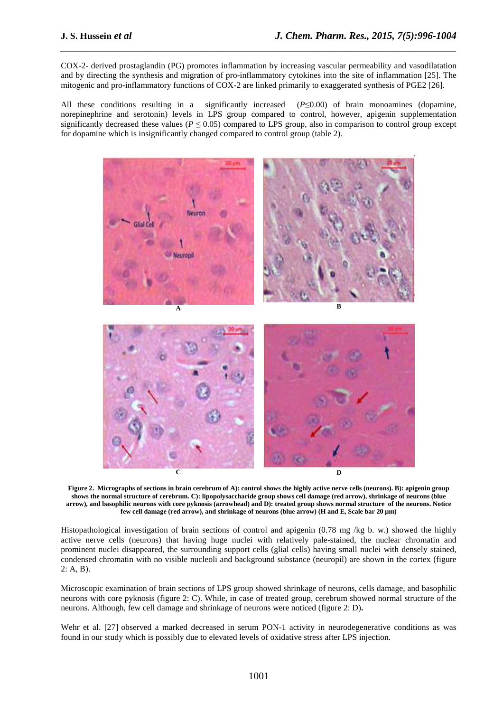COX-2- derived prostaglandin (PG) promotes inflammation by increasing vascular permeability and vasodilatation and by directing the synthesis and migration of pro-inflammatory cytokines into the site of inflammation [25]. The mitogenic and pro-inflammatory functions of COX-2 are linked primarily to exaggerated synthesis of PGE2 [26].

*\_\_\_\_\_\_\_\_\_\_\_\_\_\_\_\_\_\_\_\_\_\_\_\_\_\_\_\_\_\_\_\_\_\_\_\_\_\_\_\_\_\_\_\_\_\_\_\_\_\_\_\_\_\_\_\_\_\_\_\_\_\_\_\_\_\_\_\_\_\_\_\_\_\_\_\_\_\_*

All these conditions resulting in a significantly increased (*P*≤0.00) of brain monoamines (dopamine, norepinephrine and serotonin) levels in LPS group compared to control, however, apigenin supplementation significantly decreased these values ( $P \le 0.05$ ) compared to LPS group, also in comparison to control group except for dopamine which is insignificantly changed compared to control group (table 2).



**Figure 2. Micrographs of sections in brain cerebrum of A): control shows the highly active nerve cells (neurons). B): apigenin group shows the normal structure of cerebrum. C): lipopolysaccharide group shows cell damage (red arrow), shrinkage of neurons (blue arrow), and basophilic neurons with core pyknosis (arrowhead) and D): treated group shows normal structure of the neurons. Notice few cell damage (red arrow), and shrinkage of neurons (blue arrow) (H and E, Scale bar 20 µm)** 

Histopathological investigation of brain sections of control and apigenin (0.78 mg /kg b. w.) showed the highly active nerve cells (neurons) that having huge nuclei with relatively pale-stained, the nuclear chromatin and prominent nuclei disappeared, the surrounding support cells (glial cells) having small nuclei with densely stained, condensed chromatin with no visible nucleoli and background substance (neuropil) are shown in the cortex (figure 2: A, B).

Microscopic examination of brain sections of LPS group showed shrinkage of neurons, cells damage, and basophilic neurons with core pyknosis (figure 2: C). While, in case of treated group, cerebrum showed normal structure of the neurons. Although, few cell damage and shrinkage of neurons were noticed (figure 2: D)**.**

Wehr et al. [27] observed a marked decreased in serum PON-1 activity in neurodegenerative conditions as was found in our study which is possibly due to elevated levels of oxidative stress after LPS injection.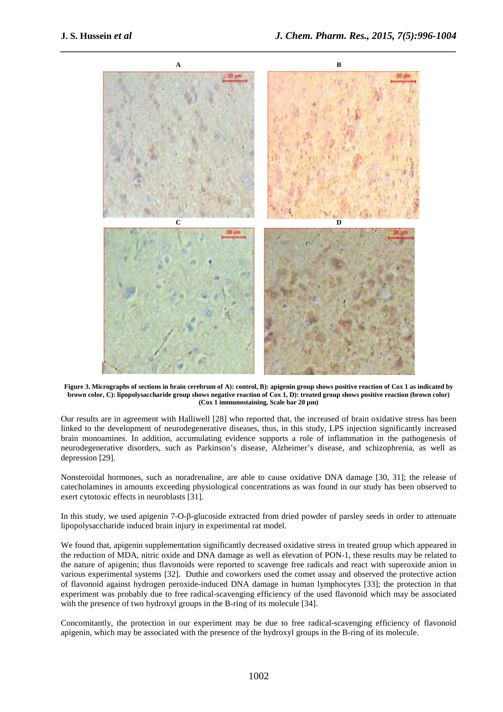

**Figure 3. Micrographs of sections in brain cerebrum of A): control, B): apigenin group shows positive reaction of Cox 1 as indicated by brown color, C): lipopolysaccharide group shows negative reaction of Cox 1, D): treated group shows positive reaction (brown color) (Cox 1 immunostaining, Scale bar 20 µm)** 

Our results are in agreement with Halliwell [28] who reported that, the increased of brain oxidative stress has been linked to the development of neurodegenerative diseases, thus, in this study, LPS injection significantly increased brain monoamines. In addition, accumulating evidence supports a role of inflammation in the pathogenesis of neurodegenerative disorders, such as Parkinson's disease, Alzheimer's disease, and schizophrenia, as well as depression [29].

Nonsteroidal hormones, such as noradrenaline, are able to cause oxidative DNA damage [30, 31]; the release of catecholamines in amounts exceeding physiological concentrations as was found in our study has been observed to exert cytotoxic effects in neuroblasts [31].

In this study, we used apigenin 7-O-β-glucoside extracted from dried powder of parsley seeds in order to attenuate lipopolysaccharide induced brain injury in experimental rat model.

We found that, apigenin supplementation significantly decreased oxidative stress in treated group which appeared in the reduction of MDA, nitric oxide and DNA damage as well as elevation of PON-1, these results may be related to the nature of apigenin; thus flavonoids were reported to scavenge free radicals and react with superoxide anion in various experimental systems [32]. Duthie and coworkers used the comet assay and observed the protective action of flavonoid against hydrogen peroxide-induced DNA damage in human lymphocytes [33]; the protection in that experiment was probably due to free radical-scavenging efficiency of the used flavonoid which may be associated with the presence of two hydroxyl groups in the B-ring of its molecule [34].

Concomitantly, the protection in our experiment may be due to free radical-scavenging efficiency of flavonoid apigenin, which may be associated with the presence of the hydroxyl groups in the B-ring of its molecule.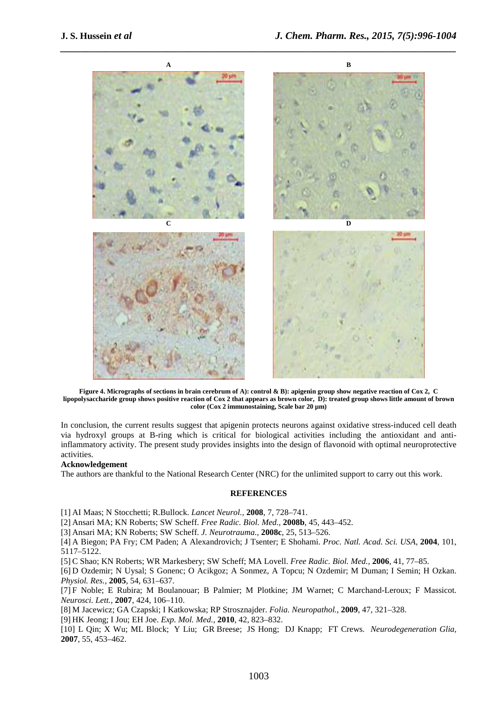

**Figure 4. Micrographs of sections in brain cerebrum of A): control & B): apigenin group show negative reaction of Cox 2, C lipopolysaccharide group shows positive reaction of Cox 2 that appears as brown color, D): treated group shows little amount of brown color (Cox 2 immunostaining, Scale bar 20 µm)** 

In conclusion, the current results suggest that apigenin protects neurons against oxidative stress-induced cell death via hydroxyl groups at B-ring which is critical for biological activities including the antioxidant and antiinflammatory activity. The present study provides insights into the design of flavonoid with optimal neuroprotective activities.

#### **Acknowledgement**

The authors are thankful to the National Research Center (NRC) for the unlimited support to carry out this work.

## **REFERENCES**

[1] AI Maas; N Stocchetti; R.Bullock. *Lancet Neurol.,* **2008**, 7, 728–741.

[2] Ansari MA; KN Roberts; SW Scheff. *Free Radic. Biol. Med.,* **2008b**, 45, 443–452.

[3] Ansari MA; KN Roberts; SW Scheff. *J. Neurotrauma.,* **2008c**, 25, 513–526.

[4] A Biegon; PA Fry; CM Paden; A Alexandrovich; J Tsenter; E Shohami. *Proc. Natl. Acad. Sci. USA,* **2004**, 101, 5117–5122.

[5] C Shao; KN Roberts; WR Markesbery; SW Scheff; MA Lovell. *Free Radic. Biol. Med.,* **2006**, 41, 77–85.

[6] D Ozdemir; N Uysal; S Gonenc; O Acikgoz; A Sonmez, A Topcu; N Ozdemir; M Duman; I Semin; H Ozkan. *Physiol. Res.,* **2005**, 54, 631–637.

[7] F Noble; E Rubira; M Boulanouar; B Palmier; M Plotkine; JM Warnet; C Marchand-Leroux; F Massicot. *Neurosci. Lett.,* **2007**, 424, 106–110.

[8] M Jacewicz; GA Czapski; I Katkowska; RP Strosznajder. *Folia. Neuropathol.,* **2009**, 47, 321–328.

[9] HK Jeong; I Jou; EH Joe. *Exp. Mol. Med.,* **2010**, 42, 823–832.

[10] L Qin; X Wu; ML Block; Y Liu; GR Breese; JS Hong; DJ Knapp; FT Crews. *Neurodegeneration Glia,*  **2007**, 55, 453–462.